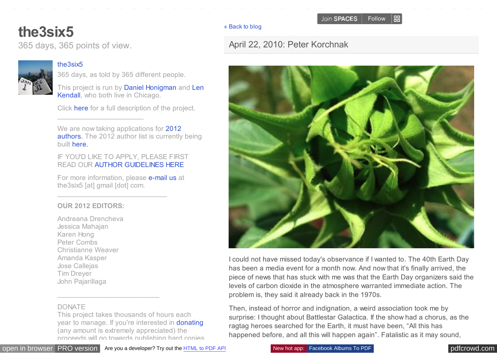#### [« Back to blog](http://the3six5.posterous.com/)

## [April 22, 2010: Peter Korchnak](http://the3six5.posterous.com/april-22-2010-peter-korchnak)



I could not have missed today's observance if I wanted to. The 40th Earth Day has been a media event for a month now. And now that it's finally arrived, the piece of news that has stuck with me was that the Earth Day organizers said the levels of carbon dioxide in the atmosphere warranted immediate action. The problem is, they said it already back in the 1970s.

Then, instead of horror and indignation, a weird association took me by surprise: I thought about Battlestar Galactica. If the show had a chorus, as the ragtag heroes searched for the Earth, it must have been, "All this has happened before, and all this will happen again". Fatalistic as it may sound,

# <span id="page-0-0"></span>**[the3six5](http://the3six5.posterous.com/)**

365 days, 365 points of view.

### [the3six5](http://posterous.com/users/4afzq5vZjTDX)

365 days, as told by 365 different people.

[This project is run by Daniel Honigman and Len](http://lenkendall.posterous.com/) Kendall, who both live in Chicago.

Click [here](http://the3six5.posterous.com/the3six5) for a full description of the project. \_\_\_\_\_\_\_\_\_\_\_\_\_\_\_\_\_\_\_\_\_\_

We are now taking applications for 2012 [authors. The 2012 author list is currently](http://the3six5.posterous.com/the3six5-call-for-authors-2011) being built [here.](http://the3six5.posterous.com/the3six5-2012-author-list)

IF YOU'D LIKE TO APPLY, PLEASE FIRST READ OUR [AUTHOR GUIDELINES HERE](http://the3six5.posterous.com/author-guidelines)

For more information, please **e-mail us** at the3six5 [at] gmail [dot] com.

\_\_\_\_\_\_\_\_\_\_\_\_\_\_\_\_\_\_\_\_\_\_\_\_\_\_\_\_

#### **OUR 2012 EDITORS:**

Andreana Drencheva Jessica Mahajan Karen Hong Peter Combs Christianne Weaver Amanda Kasper Jose Callejas Tim Dreyer John Pajarillaga

#### DONATE

This project takes thousands of hours each year to manage. If you're interested in [donating](http://the3six5.chipin.com/donations-to-the3six5) (any amount is extremely appreciated) the proceeds will go towards publishing hard copies

\_\_\_\_\_\_\_\_\_\_\_\_\_\_\_\_\_\_\_\_\_\_\_\_\_\_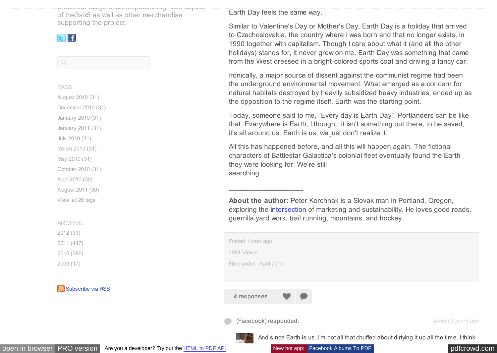proceeds will go towards publishing hard copies of the3six5 as well as other merchandise supporting the project.

## GE

 $\begin{array}{c} \n\text{Q} \n\end{array}$ 

TAGS [August 2010 \(31\)](http://the3six5.posterous.com/tag/august2010)

[December 2010 \(31\)](http://the3six5.posterous.com/tag/december2010)

[January 2010 \(31\)](http://the3six5.posterous.com/tag/january2010)

[January 2011 \(31\)](http://the3six5.posterous.com/tag/january2011)

[July 2010 \(31\)](http://the3six5.posterous.com/tag/july2010)

[March 2010 \(31\)](http://the3six5.posterous.com/tag/march2010)

[May 2010 \(31\)](http://the3six5.posterous.com/tag/may2010)

[October 2010 \(31\)](http://the3six5.posterous.com/tag/october2010)

[April 2010 \(30\)](http://the3six5.posterous.com/tag/april2010)

[August 2011 \(30\)](http://the3six5.posterous.com/tag/august2011)

[View all 26 tags](#page-0-0)

ARCHIVE

[2012](#page-0-0) (31)

[2011](#page-0-0) (447)

[2010](#page-0-0) (386)

[2009](#page-0-0) (17)

[Subscribe via RSS](http://the3six5.posterous.com/rss.xml)

Earth Day feels the same way.

Similar to Valentine's Day or Mother's Day, Earth Day is a holiday that arrived to Czechoslovakia, the country where I was born and that no longer exists, in 1990 together with capitalism. Though I care about what it (and all the other holidays) stands for, it never grew on me. Earth Day was something that came from the West dressed in a bright-colored sports coat and driving a fancy car.

Ironically, a major source of dissent against the communist regime had been the underground environmental movement. What emerged as a concern for natural habitats destroyed by heavily subsidized heavy industries, ended up as the opposition to the regime itself. Earth was the starting point.

Today, someone said to me, "Every day is Earth Day". Portlanders can be like that. Everywhere is Earth, I thought: it isn't something out there, to be saved, it's all around us. Earth is us, we just don't realize it.

All this has happened before, and all this will happen again. The fictional characters of Battlestar Galactica's colonial fleet eventually found the Earth they were looking for. We're still searching.

**About the author**: Peter Korchnak is a Slovak man in Portland, Oregon, exploring the [intersection](http://www.semiosiscommunications.com/) of marketing and sustainability. He loves good reads, guerrilla yard work, trail running, mountains, and hockey.

| Posted 1 year ago       |                           |  |  |  |  |
|-------------------------|---------------------------|--|--|--|--|
| 4981 Views              |                           |  |  |  |  |
| Filed under: April 2010 |                           |  |  |  |  |
|                         |                           |  |  |  |  |
|                         |                           |  |  |  |  |
| 4 responses             | $\mathbf{v}$ $\mathbf{p}$ |  |  |  |  |
|                         |                           |  |  |  |  |

(Facebook) responded: *almost 2 years ago*

 $\overline{\phantom{a}}$  , where  $\overline{\phantom{a}}$ 



[open in browser](http://pdfcrowd.com/redirect/?url=http%3a%2f%2fthe3six5.posterous.com%2fapril-22-2010-peter-korchnak&id=ma-120130111738-063e6a97) [PRO version](http://pdfcrowd.com/customize/) Are you a developer? Try out th[e HTML to PDF API](http://pdfcrowd.com/html-to-pdf-api/?ref=pdf) New hot app: [Facebook Albums To PDF](http://www.albumstopdf.com/?ref=pdf) [pdfcrowd.com](http://pdfcrowd.com)

And since Earth is us, I'm not all that chuffed about dirtying it up all the time. I think